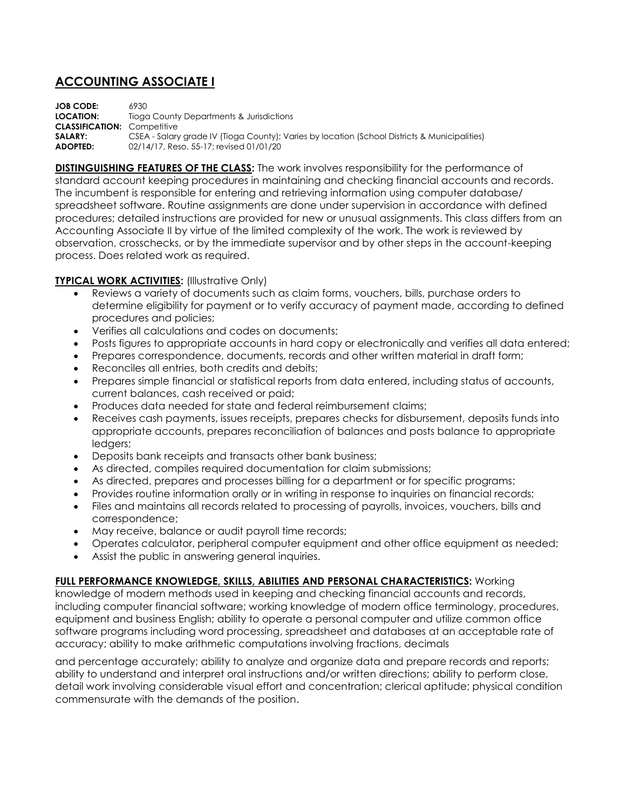## **ACCOUNTING ASSOCIATE I**

**JOB CODE:** 6930 **LOCATION:** Tioga County Departments & Jurisdictions **CLASSIFICATION:** Competitive **SALARY:** CSEA - Salary grade IV (Tioga County); Varies by location (School Districts & Municipalities) **ADOPTED:** 02/14/17, Reso. 55-17; revised 01/01/20

**DISTINGUISHING FEATURES OF THE CLASS:** The work involves responsibility for the performance of standard account keeping procedures in maintaining and checking financial accounts and records. The incumbent is responsible for entering and retrieving information using computer database/ spreadsheet software. Routine assignments are done under supervision in accordance with defined procedures; detailed instructions are provided for new or unusual assignments. This class differs from an Accounting Associate II by virtue of the limited complexity of the work. The work is reviewed by observation, crosschecks, or by the immediate supervisor and by other steps in the account-keeping process. Does related work as required.

## **TYPICAL WORK ACTIVITIES:** (Illustrative Only)

- Reviews a variety of documents such as claim forms, vouchers, bills, purchase orders to determine eligibility for payment or to verify accuracy of payment made, according to defined procedures and policies;
- Verifies all calculations and codes on documents;
- Posts figures to appropriate accounts in hard copy or electronically and verifies all data entered;
- Prepares correspondence, documents, records and other written material in draft form;
- Reconciles all entries, both credits and debits;
- Prepares simple financial or statistical reports from data entered, including status of accounts, current balances, cash received or paid;
- Produces data needed for state and federal reimbursement claims;
- Receives cash payments, issues receipts, prepares checks for disbursement, deposits funds into appropriate accounts, prepares reconciliation of balances and posts balance to appropriate ledgers;
- Deposits bank receipts and transacts other bank business;
- As directed, compiles required documentation for claim submissions;
- As directed, prepares and processes billing for a department or for specific programs;
- Provides routine information orally or in writing in response to inquiries on financial records;
- Files and maintains all records related to processing of payrolls, invoices, vouchers, bills and correspondence;
- May receive, balance or audit payroll time records;
- Operates calculator, peripheral computer equipment and other office equipment as needed;
- Assist the public in answering general inquiries.

## **FULL PERFORMANCE KNOWLEDGE, SKILLS, ABILITIES AND PERSONAL CHARACTERISTICS:** Working

knowledge of modern methods used in keeping and checking financial accounts and records, including computer financial software; working knowledge of modern office terminology, procedures, equipment and business English; ability to operate a personal computer and utilize common office software programs including word processing, spreadsheet and databases at an acceptable rate of accuracy; ability to make arithmetic computations involving fractions, decimals

and percentage accurately; ability to analyze and organize data and prepare records and reports; ability to understand and interpret oral instructions and/or written directions; ability to perform close, detail work involving considerable visual effort and concentration; clerical aptitude; physical condition commensurate with the demands of the position.